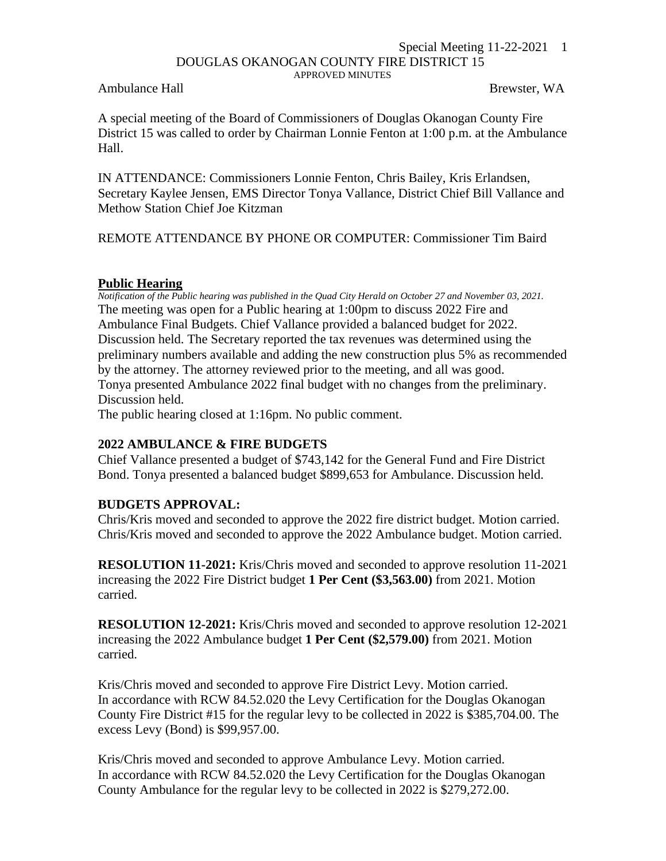#### Special Meeting 11-22-2021 1 DOUGLAS OKANOGAN COUNTY FIRE DISTRICT 15 APPROVED MINUTES

Ambulance Hall **Brewster, WA** 

A special meeting of the Board of Commissioners of Douglas Okanogan County Fire District 15 was called to order by Chairman Lonnie Fenton at 1:00 p.m. at the Ambulance Hall.

IN ATTENDANCE: Commissioners Lonnie Fenton, Chris Bailey, Kris Erlandsen, Secretary Kaylee Jensen, EMS Director Tonya Vallance, District Chief Bill Vallance and Methow Station Chief Joe Kitzman

REMOTE ATTENDANCE BY PHONE OR COMPUTER: Commissioner Tim Baird

#### **Public Hearing**

*Notification of the Public hearing was published in the Quad City Herald on October 27 and November 03, 2021.* The meeting was open for a Public hearing at 1:00pm to discuss 2022 Fire and Ambulance Final Budgets. Chief Vallance provided a balanced budget for 2022. Discussion held. The Secretary reported the tax revenues was determined using the preliminary numbers available and adding the new construction plus 5% as recommended by the attorney. The attorney reviewed prior to the meeting, and all was good. Tonya presented Ambulance 2022 final budget with no changes from the preliminary. Discussion held.

The public hearing closed at 1:16pm. No public comment.

# **2022 AMBULANCE & FIRE BUDGETS**

Chief Vallance presented a budget of \$743,142 for the General Fund and Fire District Bond. Tonya presented a balanced budget \$899,653 for Ambulance. Discussion held.

# **BUDGETS APPROVAL:**

Chris/Kris moved and seconded to approve the 2022 fire district budget. Motion carried. Chris/Kris moved and seconded to approve the 2022 Ambulance budget. Motion carried.

**RESOLUTION 11-2021:** Kris/Chris moved and seconded to approve resolution 11-2021 increasing the 2022 Fire District budget **1 Per Cent (\$3,563.00)** from 2021. Motion carried.

**RESOLUTION 12-2021:** Kris/Chris moved and seconded to approve resolution 12-2021 increasing the 2022 Ambulance budget **1 Per Cent (\$2,579.00)** from 2021. Motion carried.

Kris/Chris moved and seconded to approve Fire District Levy. Motion carried. In accordance with RCW 84.52.020 the Levy Certification for the Douglas Okanogan County Fire District #15 for the regular levy to be collected in 2022 is \$385,704.00. The excess Levy (Bond) is \$99,957.00.

Kris/Chris moved and seconded to approve Ambulance Levy. Motion carried. In accordance with RCW 84.52.020 the Levy Certification for the Douglas Okanogan County Ambulance for the regular levy to be collected in 2022 is \$279,272.00.